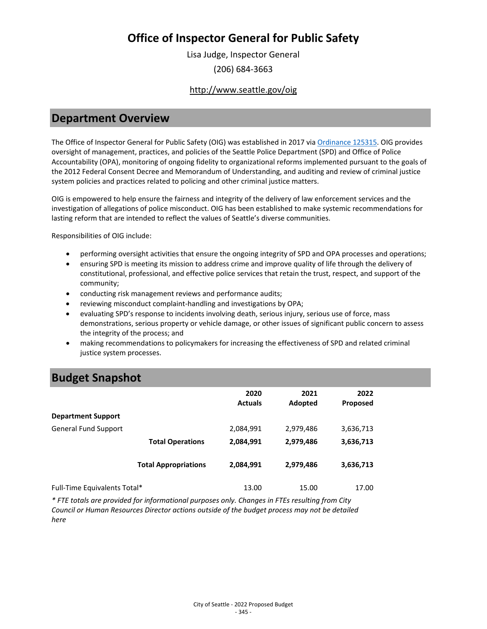Lisa Judge, Inspector General (206) 684-3663

### <http://www.seattle.gov/oig>

## **Department Overview**

The Office of Inspector General for Public Safety (OIG) was established in 2017 via [Ordinance 125315.](https://seattle.legistar.com/LegislationDetail.aspx?ID=3041612&GUID=189886AB-6C46-438A-AB56-DA45AE4FCD7B&Options=ID|Text|&Search=125315) OIG provides oversight of management, practices, and policies of the Seattle Police Department (SPD) and Office of Police Accountability (OPA), monitoring of ongoing fidelity to organizational reforms implemented pursuant to the goals of the 2012 Federal Consent Decree and Memorandum of Understanding, and auditing and review of criminal justice system policies and practices related to policing and other criminal justice matters.

OIG is empowered to help ensure the fairness and integrity of the delivery of law enforcement services and the investigation of allegations of police misconduct. OIG has been established to make systemic recommendations for lasting reform that are intended to reflect the values of Seattle's diverse communities.

Responsibilities of OIG include:

- performing oversight activities that ensure the ongoing integrity of SPD and OPA processes and operations;
- ensuring SPD is meeting its mission to address crime and improve quality of life through the delivery of constitutional, professional, and effective police services that retain the trust, respect, and support of the community;
- conducting risk management reviews and performance audits;
- reviewing misconduct complaint-handling and investigations by OPA;
- evaluating SPD's response to incidents involving death, serious injury, serious use of force, mass demonstrations, serious property or vehicle damage, or other issues of significant public concern to assess the integrity of the process; and
- making recommendations to policymakers for increasing the effectiveness of SPD and related criminal justice system processes.

## **Budget Snapshot**

|                              |                             | 2020<br><b>Actuals</b> | 2021<br>Adopted | 2022<br><b>Proposed</b> |
|------------------------------|-----------------------------|------------------------|-----------------|-------------------------|
| <b>Department Support</b>    |                             |                        |                 |                         |
| <b>General Fund Support</b>  |                             | 2,084,991              | 2,979,486       | 3,636,713               |
|                              | <b>Total Operations</b>     | 2,084,991              | 2,979,486       | 3,636,713               |
|                              | <b>Total Appropriations</b> | 2,084,991              | 2,979,486       | 3,636,713               |
| Full-Time Equivalents Total* |                             | 13.00                  | 15.00           | 17.00                   |

*\* FTE totals are provided for informational purposes only. Changes in FTEs resulting from City Council or Human Resources Director actions outside of the budget process may not be detailed here*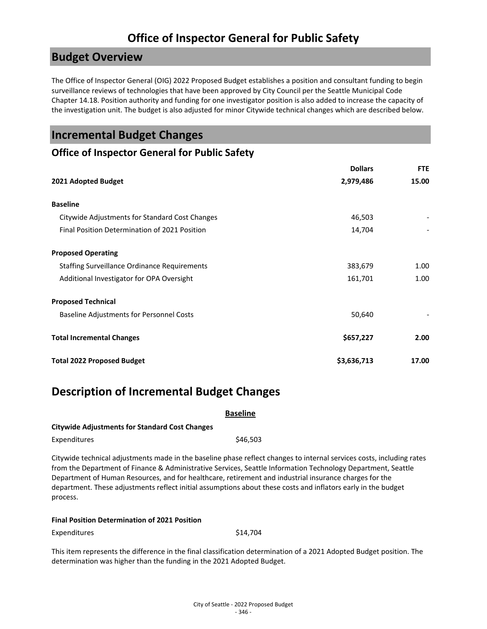## **Budget Overview**

The Office of Inspector General (OIG) 2022 Proposed Budget establishes a position and consultant funding to begin surveillance reviews of technologies that have been approved by City Council per the Seattle Municipal Code Chapter 14.18. Position authority and funding for one investigator position is also added to increase the capacity of the investigation unit. The budget is also adjusted for minor Citywide technical changes which are described below.

## **Incremental Budget Changes**

### **Office of Inspector General for Public Safety**

|                                                     | <b>Dollars</b> | <b>FTE</b> |
|-----------------------------------------------------|----------------|------------|
| 2021 Adopted Budget                                 | 2,979,486      | 15.00      |
| <b>Baseline</b>                                     |                |            |
| Citywide Adjustments for Standard Cost Changes      | 46,503         |            |
| Final Position Determination of 2021 Position       | 14,704         |            |
| <b>Proposed Operating</b>                           |                |            |
| <b>Staffing Surveillance Ordinance Requirements</b> | 383,679        | 1.00       |
| Additional Investigator for OPA Oversight           | 161,701        | 1.00       |
| <b>Proposed Technical</b>                           |                |            |
| Baseline Adjustments for Personnel Costs            | 50,640         |            |
| <b>Total Incremental Changes</b>                    | \$657,227      | 2.00       |
| <b>Total 2022 Proposed Budget</b>                   | \$3,636,713    | 17.00      |

## **Description of Incremental Budget Changes**

### **Baseline**

### **Citywide Adjustments for Standard Cost Changes**

| Expenditures | \$46,503 |
|--------------|----------|
|--------------|----------|

Citywide technical adjustments made in the baseline phase reflect changes to internal services costs, including rates from the Department of Finance & Administrative Services, Seattle Information Technology Department, Seattle Department of Human Resources, and for healthcare, retirement and industrial insurance charges for the department. These adjustments reflect initial assumptions about these costs and inflators early in the budget process.

# **Final Position Determination of 2021 Position**

Expenditures \$14,704

This item represents the difference in the final classification determination of a 2021 Adopted Budget position. The determination was higher than the funding in the 2021 Adopted Budget.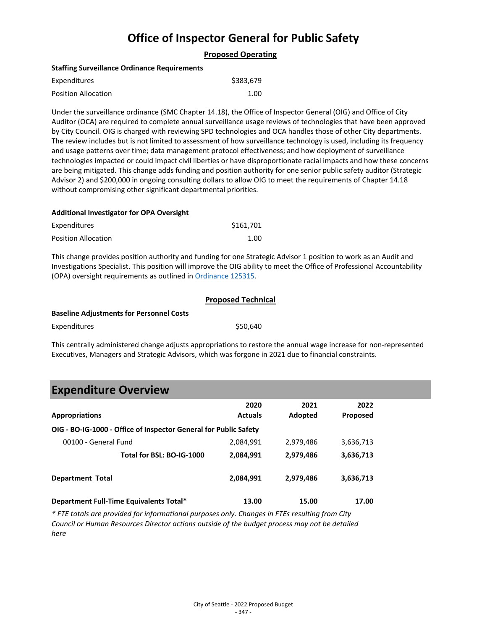### **Proposed Operating**

#### **Staffing Surveillance Ordinance Requirements**

| Expenditures        | \$383,679 |
|---------------------|-----------|
| Position Allocation | 1.00      |

Under the surveillance ordinance (SMC Chapter 14.18), the Office of Inspector General (OIG) and Office of City Auditor (OCA) are required to complete annual surveillance usage reviews of technologies that have been approved by City Council. OIG is charged with reviewing SPD technologies and OCA handles those of other City departments. The review includes but is not limited to assessment of how surveillance technology is used, including its frequency and usage patterns over time; data management protocol effectiveness; and how deployment of surveillance technologies impacted or could impact civil liberties or have disproportionate racial impacts and how these concerns are being mitigated. This change adds funding and position authority for one senior public safety auditor (Strategic Advisor 2) and \$200,000 in ongoing consulting dollars to allow OIG to meet the requirements of Chapter 14.18 without compromising other significant departmental priorities.

#### **Additional Investigator for OPA Oversight**

| Expenditures               | \$161.701 |
|----------------------------|-----------|
| <b>Position Allocation</b> | 1.00      |

This change provides position authority and funding for one Strategic Advisor 1 position to work as an Audit and Investigations Specialist. This position will improve the OIG ability to meet the Office of Professional Accountability (OPA) oversight requirements as outlined i[n Ordinance 125315.](https://seattle.legistar.com/LegislationDetail.aspx?ID=3041612&GUID=189886AB-6C46-438A-AB56-DA45AE4FCD7B&Options=ID|Text|&Search=125315)

|                                                 | <b>Proposed Technical</b> |  |
|-------------------------------------------------|---------------------------|--|
| <b>Baseline Adjustments for Personnel Costs</b> |                           |  |
| Expenditures                                    | \$50,640                  |  |

This centrally administered change adjusts appropriations to restore the annual wage increase for non-represented Executives, Managers and Strategic Advisors, which was forgone in 2021 due to financial constraints.

## **Expenditure Overview**

| <b>Appropriations</b>                                            | 2020<br><b>Actuals</b> | 2021<br>Adopted | 2022<br><b>Proposed</b> |  |
|------------------------------------------------------------------|------------------------|-----------------|-------------------------|--|
| OIG - BO-IG-1000 - Office of Inspector General for Public Safety |                        |                 |                         |  |
| 00100 - General Fund                                             | 2,084,991              | 2,979,486       | 3,636,713               |  |
| Total for BSL: BO-IG-1000                                        | 2,084,991              | 2,979,486       | 3,636,713               |  |
| <b>Department Total</b>                                          | 2,084,991              | 2,979,486       | 3,636,713               |  |
| Department Full-Time Equivalents Total*                          | 13.00                  | 15.00           | 17.00                   |  |

*\* FTE totals are provided for informational purposes only. Changes in FTEs resulting from City Council or Human Resources Director actions outside of the budget process may not be detailed here*